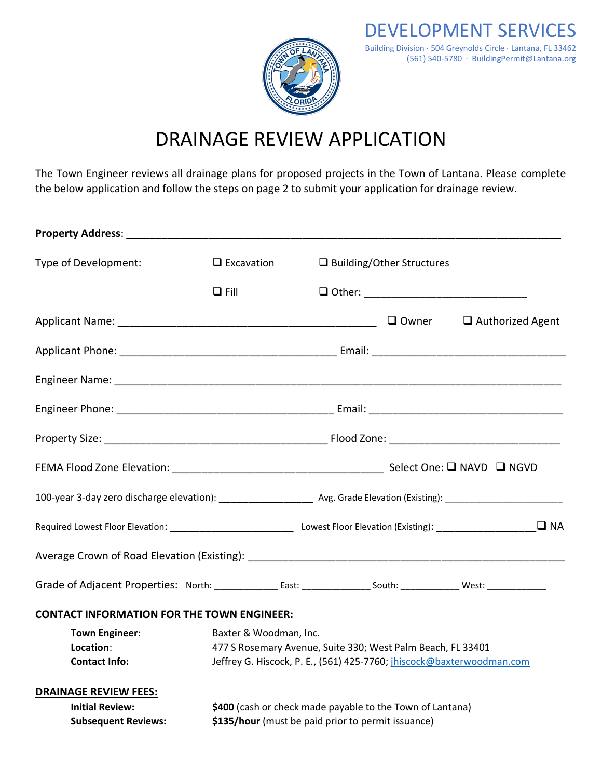

## DRAINAGE REVIEW APPLICATION

The Town Engineer reviews all drainage plans for proposed projects in the Town of Lantana. Please complete the below application and follow the steps on page 2 to submit your application for drainage review.

| Type of Development:                                                                                                                    |  | $\Box$ Excavation                                                                                                                                              |                                                                                                                                        | □ Building/Other Structures |  |  |
|-----------------------------------------------------------------------------------------------------------------------------------------|--|----------------------------------------------------------------------------------------------------------------------------------------------------------------|----------------------------------------------------------------------------------------------------------------------------------------|-----------------------------|--|--|
|                                                                                                                                         |  | $\Box$ Fill                                                                                                                                                    |                                                                                                                                        |                             |  |  |
|                                                                                                                                         |  |                                                                                                                                                                |                                                                                                                                        |                             |  |  |
|                                                                                                                                         |  |                                                                                                                                                                |                                                                                                                                        |                             |  |  |
|                                                                                                                                         |  |                                                                                                                                                                |                                                                                                                                        |                             |  |  |
|                                                                                                                                         |  |                                                                                                                                                                |                                                                                                                                        |                             |  |  |
|                                                                                                                                         |  |                                                                                                                                                                |                                                                                                                                        |                             |  |  |
|                                                                                                                                         |  |                                                                                                                                                                |                                                                                                                                        |                             |  |  |
|                                                                                                                                         |  |                                                                                                                                                                | 100-year 3-day zero discharge elevation): ________________________ Avg. Grade Elevation (Existing): __________________________________ |                             |  |  |
|                                                                                                                                         |  |                                                                                                                                                                |                                                                                                                                        |                             |  |  |
|                                                                                                                                         |  |                                                                                                                                                                |                                                                                                                                        |                             |  |  |
| Grade of Adjacent Properties: North: _________________East: ________________South: _______________West: _______________________________ |  |                                                                                                                                                                |                                                                                                                                        |                             |  |  |
| <b>CONTACT INFORMATION FOR THE TOWN ENGINEER:</b>                                                                                       |  |                                                                                                                                                                |                                                                                                                                        |                             |  |  |
| <b>Town Engineer:</b><br>Location:<br><b>Contact Info:</b>                                                                              |  | Baxter & Woodman, Inc.<br>477 S Rosemary Avenue, Suite 330; West Palm Beach, FL 33401<br>Jeffrey G. Hiscock, P. E., (561) 425-7760; jhiscock@baxterwoodman.com |                                                                                                                                        |                             |  |  |
| <b>DRAINAGE REVIEW FEES:</b><br><b>Initial Review:</b><br><b>Subsequent Reviews:</b>                                                    |  |                                                                                                                                                                | \$400 (cash or check made payable to the Town of Lantana)<br>\$135/hour (must be paid prior to permit issuance)                        |                             |  |  |